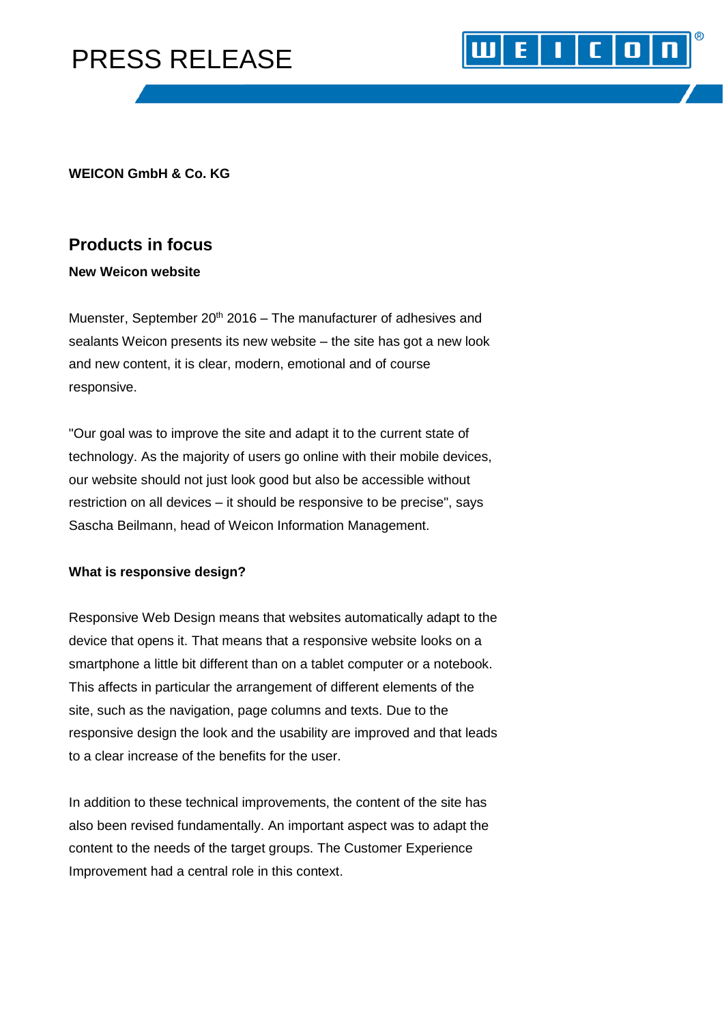# PRESS RELEASE

### **WEICON GmbH & Co. KG**

### **Products in focus**

### **New Weicon website**

Muenster, September  $20<sup>th</sup> 2016$  – The manufacturer of adhesives and sealants Weicon presents its new website – the site has got a new look and new content, it is clear, modern, emotional and of course responsive.

 $\vert \vert \vert$  [  $\vert$  0

E I

"Our goal was to improve the site and adapt it to the current state of technology. As the majority of users go online with their mobile devices, our website should not just look good but also be accessible without restriction on all devices – it should be responsive to be precise", says Sascha Beilmann, head of Weicon Information Management.

### **What is responsive design?**

Responsive Web Design means that websites automatically adapt to the device that opens it. That means that a responsive website looks on a smartphone a little bit different than on a tablet computer or a notebook. This affects in particular the arrangement of different elements of the site, such as the navigation, page columns and texts. Due to the responsive design the look and the usability are improved and that leads to a clear increase of the benefits for the user.

In addition to these technical improvements, the content of the site has also been revised fundamentally. An important aspect was to adapt the content to the needs of the target groups. The Customer Experience Improvement had a central role in this context.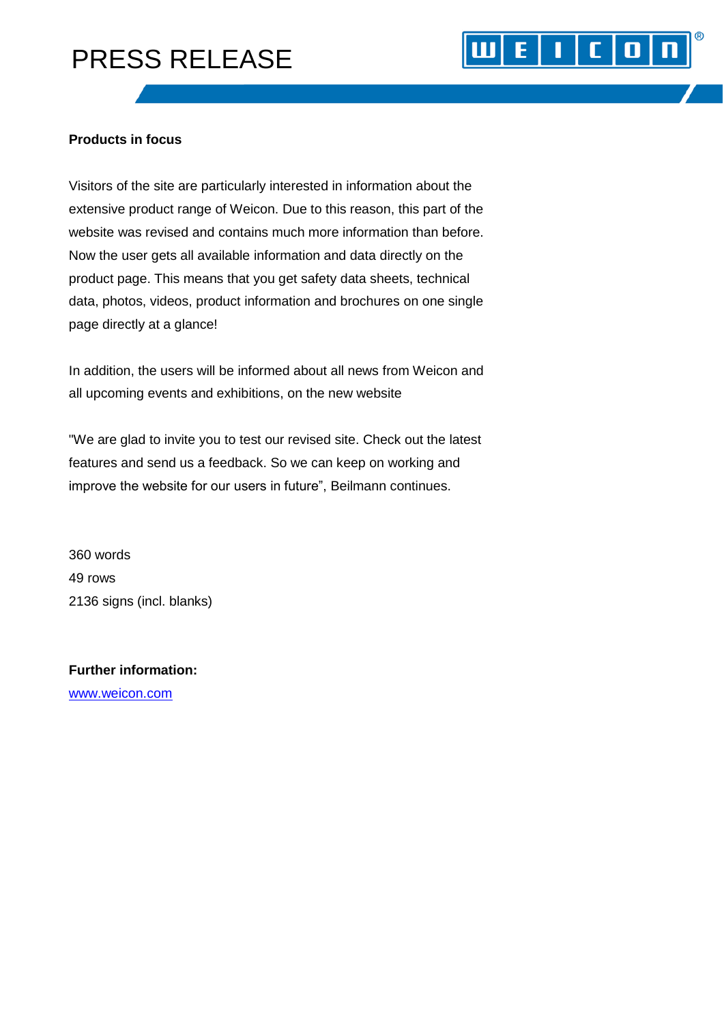# PRESS RELEASE

### **Products in focus**

Visitors of the site are particularly interested in information about the extensive product range of Weicon. Due to this reason, this part of the website was revised and contains much more information than before. Now the user gets all available information and data directly on the product page. This means that you get safety data sheets, technical data, photos, videos, product information and brochures on one single page directly at a glance!

E |

Ш

 $\mathbf{I}$   $\mathbf{C}$   $\mathbf{0}$ 

In addition, the users will be informed about all news from Weicon and all upcoming events and exhibitions, on the new website

"We are glad to invite you to test our revised site. Check out the latest features and send us a feedback. So we can keep on working and improve the website for our users in future", Beilmann continues.

360 words 49 rows 2136 signs (incl. blanks)

**Further information:** [www.weicon.com](http://www.weicon.com/)